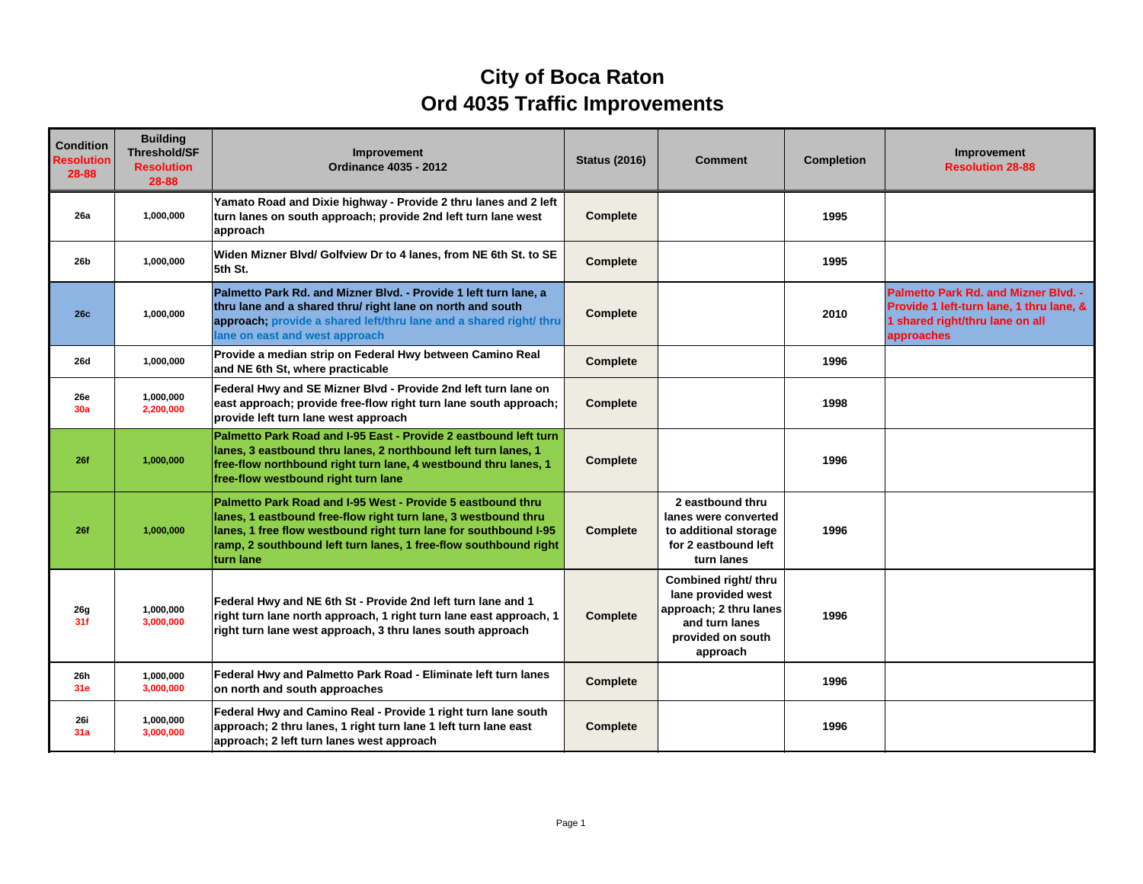## **City of Boca Raton Ord 4035 Traffic Improvements**

| <b>Condition</b><br><b>Resolution</b><br>28-88 | <b>Building</b><br><b>Threshold/SF</b><br><b>Resolution</b><br>28-88 | Improvement<br><b>Ordinance 4035 - 2012</b>                                                                                                                                                                                                                                        | <b>Status (2016)</b> | <b>Comment</b>                                                                                                          | <b>Completion</b> | Improvement<br><b>Resolution 28-88</b>                                                                                            |
|------------------------------------------------|----------------------------------------------------------------------|------------------------------------------------------------------------------------------------------------------------------------------------------------------------------------------------------------------------------------------------------------------------------------|----------------------|-------------------------------------------------------------------------------------------------------------------------|-------------------|-----------------------------------------------------------------------------------------------------------------------------------|
| 26a                                            | 1,000,000                                                            | Yamato Road and Dixie highway - Provide 2 thru lanes and 2 left<br>turn lanes on south approach; provide 2nd left turn lane west<br>approach                                                                                                                                       | <b>Complete</b>      |                                                                                                                         | 1995              |                                                                                                                                   |
| 26 <sub>b</sub>                                | 1,000,000                                                            | Widen Mizner Blvd/ Golfview Dr to 4 lanes, from NE 6th St. to SE<br>5th St.                                                                                                                                                                                                        | Complete             |                                                                                                                         | 1995              |                                                                                                                                   |
| <b>26c</b>                                     | 1,000,000                                                            | Palmetto Park Rd. and Mizner Blvd. - Provide 1 left turn lane, a<br>thru lane and a shared thru/ right lane on north and south<br>approach; provide a shared left/thru lane and a shared right/ thru<br>ane on east and west approach                                              | Complete             |                                                                                                                         | 2010              | Palmetto Park Rd. and Mizner Blvd. -<br>Provide 1 left-turn lane, 1 thru lane, &<br>1 shared right/thru lane on all<br>approaches |
| <b>26d</b>                                     | 1,000,000                                                            | Provide a median strip on Federal Hwy between Camino Real<br>and NE 6th St, where practicable                                                                                                                                                                                      | Complete             |                                                                                                                         | 1996              |                                                                                                                                   |
| <b>26e</b><br>30a                              | 1.000.000<br>2,200,000                                               | Federal Hwy and SE Mizner Blvd - Provide 2nd left turn lane on<br>east approach; provide free-flow right turn lane south approach;<br>provide left turn lane west approach                                                                                                         | <b>Complete</b>      |                                                                                                                         | 1998              |                                                                                                                                   |
| 26f                                            | 1,000,000                                                            | Palmetto Park Road and I-95 East - Provide 2 eastbound left turn<br>lanes, 3 eastbound thru lanes, 2 northbound left turn lanes, 1<br>free-flow northbound right turn lane, 4 westbound thru lanes, 1<br>free-flow westbound right turn lane                                       | <b>Complete</b>      |                                                                                                                         | 1996              |                                                                                                                                   |
| 26f                                            | 1,000,000                                                            | Palmetto Park Road and I-95 West - Provide 5 eastbound thru<br>lanes, 1 eastbound free-flow right turn lane, 3 westbound thru<br>lanes, 1 free flow westbound right turn lane for southbound I-95<br>ramp, 2 southbound left turn lanes, 1 free-flow southbound right<br>turn lane | <b>Complete</b>      | 2 eastbound thru<br>lanes were converted<br>to additional storage<br>for 2 eastbound left<br>turn lanes                 | 1996              |                                                                                                                                   |
| 26g<br>31f                                     | 1.000.000<br>3,000,000                                               | Federal Hwy and NE 6th St - Provide 2nd left turn lane and 1<br>right turn lane north approach, 1 right turn lane east approach, 1<br>right turn lane west approach, 3 thru lanes south approach                                                                                   | <b>Complete</b>      | Combined right/ thru<br>lane provided west<br>approach; 2 thru lanes<br>and turn lanes<br>provided on south<br>approach | 1996              |                                                                                                                                   |
| 26h<br>31e                                     | 1,000,000<br>3,000,000                                               | Federal Hwy and Palmetto Park Road - Eliminate left turn lanes<br>on north and south approaches                                                                                                                                                                                    | Complete             |                                                                                                                         | 1996              |                                                                                                                                   |
| 26i<br>31a                                     | 1,000,000<br>3,000,000                                               | Federal Hwy and Camino Real - Provide 1 right turn lane south<br>approach; 2 thru lanes, 1 right turn lane 1 left turn lane east<br>approach; 2 left turn lanes west approach                                                                                                      | <b>Complete</b>      |                                                                                                                         | 1996              |                                                                                                                                   |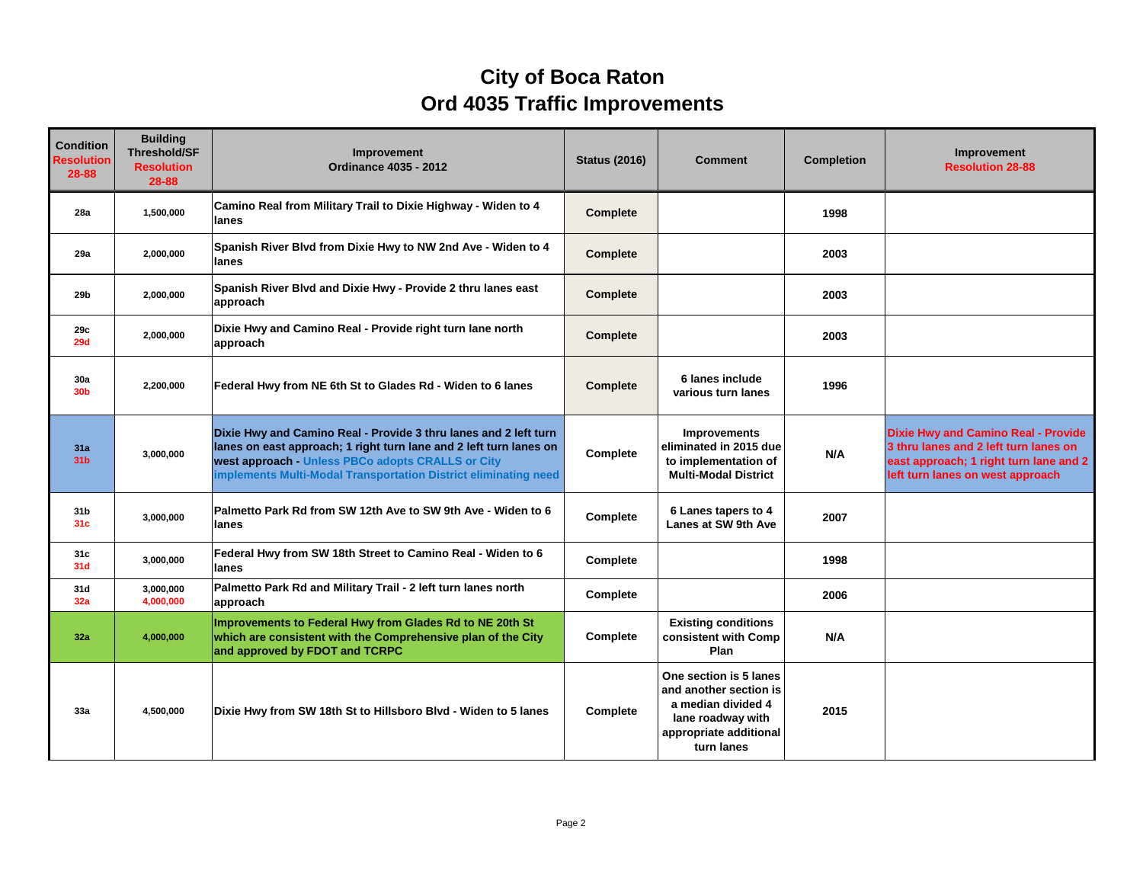## **City of Boca Raton Ord 4035 Traffic Improvements**

| <b>Condition</b><br><b>Resolution</b><br>28-88 | <b>Building</b><br><b>Threshold/SF</b><br><b>Resolution</b><br>28-88 | Improvement<br><b>Ordinance 4035 - 2012</b>                                                                                                                                                                                                                    | <b>Status (2016)</b> | <b>Comment</b>                                                                                                                      | <b>Completion</b> | <b>Improvement</b><br><b>Resolution 28-88</b>                                                                                                                     |
|------------------------------------------------|----------------------------------------------------------------------|----------------------------------------------------------------------------------------------------------------------------------------------------------------------------------------------------------------------------------------------------------------|----------------------|-------------------------------------------------------------------------------------------------------------------------------------|-------------------|-------------------------------------------------------------------------------------------------------------------------------------------------------------------|
| 28a                                            | 1,500,000                                                            | Camino Real from Military Trail to Dixie Highway - Widen to 4<br>lanes                                                                                                                                                                                         | <b>Complete</b>      |                                                                                                                                     | 1998              |                                                                                                                                                                   |
| 29a                                            | 2,000,000                                                            | Spanish River Blvd from Dixie Hwy to NW 2nd Ave - Widen to 4<br>lanes                                                                                                                                                                                          | <b>Complete</b>      |                                                                                                                                     | 2003              |                                                                                                                                                                   |
| 29b                                            | 2.000.000                                                            | Spanish River Blvd and Dixie Hwy - Provide 2 thru lanes east<br>approach                                                                                                                                                                                       | <b>Complete</b>      |                                                                                                                                     | 2003              |                                                                                                                                                                   |
| 29c<br>29d                                     | 2,000,000                                                            | Dixie Hwy and Camino Real - Provide right turn lane north<br>approach                                                                                                                                                                                          | <b>Complete</b>      |                                                                                                                                     | 2003              |                                                                                                                                                                   |
| 30a<br>30 <sub>b</sub>                         | 2,200,000                                                            | Federal Hwy from NE 6th St to Glades Rd - Widen to 6 lanes                                                                                                                                                                                                     | Complete             | 6 lanes include<br>various turn lanes                                                                                               | 1996              |                                                                                                                                                                   |
| 31a<br>31 <sub>b</sub>                         | 3,000,000                                                            | Dixie Hwy and Camino Real - Provide 3 thru lanes and 2 left turn<br>lanes on east approach; 1 right turn lane and 2 left turn lanes on<br>west approach - Unless PBCo adopts CRALLS or City<br>implements Multi-Modal Transportation District eliminating need | Complete             | <b>Improvements</b><br>eliminated in 2015 due<br>to implementation of<br><b>Multi-Modal District</b>                                | N/A               | <b>Dixie Hwy and Camino Real - Provide</b><br>3 thru lanes and 2 left turn lanes on<br>east approach; 1 right turn lane and 2<br>left turn lanes on west approach |
| 31 <sub>b</sub><br>31 <sub>c</sub>             | 3,000,000                                                            | Palmetto Park Rd from SW 12th Ave to SW 9th Ave - Widen to 6<br>lanes                                                                                                                                                                                          | Complete             | 6 Lanes tapers to 4<br>Lanes at SW 9th Ave                                                                                          | 2007              |                                                                                                                                                                   |
| 31c<br>31d                                     | 3,000,000                                                            | Federal Hwy from SW 18th Street to Camino Real - Widen to 6<br>lanes                                                                                                                                                                                           | Complete             |                                                                                                                                     | 1998              |                                                                                                                                                                   |
| 31d<br>32a                                     | 3.000.000<br>4,000,000                                               | Palmetto Park Rd and Military Trail - 2 left turn lanes north<br>approach                                                                                                                                                                                      | Complete             |                                                                                                                                     | 2006              |                                                                                                                                                                   |
| 32a                                            | 4,000,000                                                            | Improvements to Federal Hwy from Glades Rd to NE 20th St<br>which are consistent with the Comprehensive plan of the City<br>and approved by FDOT and TCRPC                                                                                                     | <b>Complete</b>      | <b>Existing conditions</b><br>consistent with Comp<br>Plan                                                                          | N/A               |                                                                                                                                                                   |
| 33a                                            | 4,500,000                                                            | Dixie Hwy from SW 18th St to Hillsboro Blvd - Widen to 5 lanes                                                                                                                                                                                                 | Complete             | One section is 5 lanes<br>and another section is<br>a median divided 4<br>lane roadway with<br>appropriate additional<br>turn lanes | 2015              |                                                                                                                                                                   |